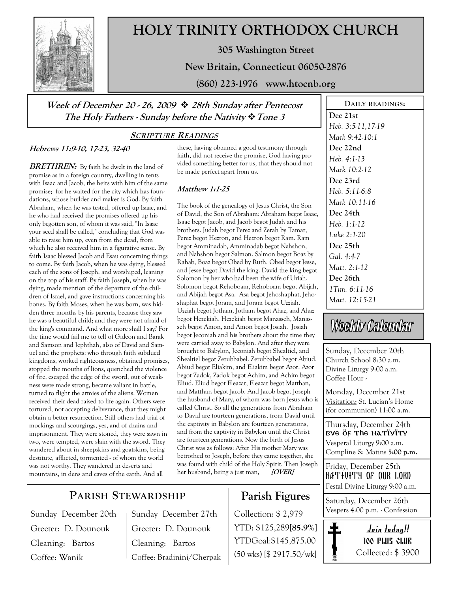

# HOLY TRINITY ORTHODOX CHURCH

305 Washington Street

New Britain, Connecticut 06050-2876

(860) 223-1976 www.htocnb.org

Week of December 20 - 26, 2009  $\cdot$  28th Sunday after Pentecost The Holy Fathers - Sunday before the Nativity  $\cdot$  Tone 3

### SCRIPTURE READINGS

#### Hebrews 11:9-10, 17-23, 32-40

**BRETHREN:** By faith he dwelt in the land of promise as in a foreign country, dwelling in tents with Isaac and Jacob, the heirs with him of the same promise; for he waited for the city which has foundations, whose builder and maker is God. By faith Abraham, when he was tested, offered up Isaac, and he who had received the promises offered up his only begotten son, of whom it was said, "In Isaac your seed shall be called," concluding that God was able to raise him up, even from the dead, from which he also received him in a figurative sense. By faith Isaac blessed Jacob and Esau concerning things to come. By faith Jacob, when he was dying, blessed each of the sons of Joseph, and worshiped, leaning on the top of his staff. By faith Joseph, when he was dying, made mention of the departure of the children of Israel, and gave instructions concerning his bones. By faith Moses, when he was born, was hidden three months by his parents, because they saw he was a beautiful child; and they were not afraid of the king's command. And what more shall I say? For the time would fail me to tell of Gideon and Barak and Samson and Jephthah, also of David and Samuel and the prophets: who through faith subdued kingdoms, worked righteousness, obtained promises, stopped the mouths of lions, quenched the violence of fire, escaped the edge of the sword, out of weakness were made strong, became valiant in battle, turned to flight the armies of the aliens. Women received their dead raised to life again. Others were tortured, not accepting deliverance, that they might obtain a better resurrection. Still others had trial of mockings and scourgings, yes, and of chains and imprisonment. They were stoned, they were sawn in two, were tempted, were slain with the sword. They wandered about in sheepskins and goatskins, being destitute, afflicted, tormented - of whom the world was not worthy. They wandered in deserts and mountains, in dens and caves of the earth. And all

these, having obtained a good testimony through faith, did not receive the promise, God having provided something better for us, that they should not be made perfect apart from us.

#### Matthew 1:1-25

The book of the genealogy of Jesus Christ, the Son of David, the Son of Abraham: Abraham begot Isaac, Isaac begot Jacob, and Jacob begot Judah and his brothers. Judah begot Perez and Zerah by Tamar, Perez begot Hezron, and Hezron begot Ram. Ram begot Amminadab, Amminadab begot Nahshon, and Nahshon begot Salmon. Salmon begot Boaz by Rahab, Boaz begot Obed by Ruth, Obed begot Jesse, and Jesse begot David the king. David the king begot Solomon by her who had been the wife of Uriah. Solomon begot Rehoboam, Rehoboam begot Abijah, and Abijah begot Asa. Asa begot Jehoshaphat, Jehoshaphat begot Joram, and Joram begot Uzziah. Uzziah begot Jotham, Jotham begot Ahaz, and Ahaz begot Hezekiah. Hezekiah begot Manasseh, Manasseh begot Amon, and Amon begot Josiah. Josiah begot Jeconiah and his brothers about the time they were carried away to Babylon. And after they were brought to Babylon, Jeconiah begot Shealtiel, and Shealtiel begot Zerubbabel. Zerubbabel begot Abiud, Abiud begot Eliakim, and Eliakim begot Azor. Azor begot Zadok, Zadok begot Achim, and Achim begot Eliud. Eliud begot Eleazar, Eleazar begot Matthan, and Matthan begot Jacob. And Jacob begot Joseph the husband of Mary, of whom was born Jesus who is called Christ. So all the generations from Abraham to David are fourteen generations, from David until the captivity in Babylon are fourteen generations, and from the captivity in Babylon until the Christ are fourteen generations. Now the birth of Jesus Christ was as follows: After His mother Mary was betrothed to Joseph, before they came together, she was found with child of the Holy Spirit. Then Joseph her husband, being a just man, [OVER]

# Parish Figures

Collection: \$ 2,979 YTD: \$125,289[85.9%] YTDGoal:\$145,875.00 (50 wks) [\$ 2917.50/wk]

DAILY READINGS: Dec 21st Heb. 3:5-11,17-19 Mark 9:42-10:1 Dec 22nd Heb. 4:1-13 Mark 10:2-12 Dec 23rd Heb. 5:11-6:8 Mark 10:11-16 Dec 24th Heb. 1:1-12 Luke 2:1-20 Dec 25th Gal. 4:4-7 Matt. 2:1-12 Dec 26th 1Tim. 6:11-16 Matt. 12:15-21

# Weekly Calendar

Sunday, December 20th Church School 8:30 a.m. Divine Liturgy 9:00 a.m. Coffee Hour -

Monday, December 21st Visitation: St. Lucian's Home (for communion) 11:00 a.m.

Thursday, December 24th EVE OF The NATIVITY Vesperal Liturgy 9:00 a.m. Compline & Matins 5:00 p.m.

Friday, December 25th NATHUHTY OF OUR LORD Festal Divine Liturgy 9:00 a.m.

Saturday, December 26th Vespers 4:00 p.m. - Confession



PARISH STEWARDSHIP

Sunday December 20th Greeter: D. Dounouk Cleaning: Bartos Coffee: Wanik

Sunday December 27th Greeter: D. Dounouk Cleaning: Bartos Coffee: Bradinini/Cherpak